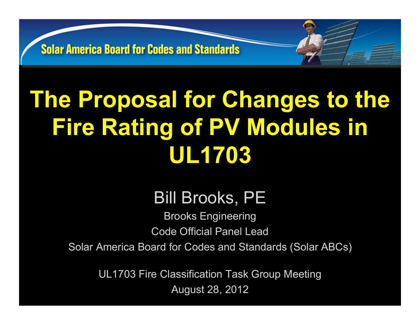# **The Proposal for Changes to the Fire Rating of PV Modules in UL1703**

#### Bill Brooks, PE

Brooks Engineering Code Official Panel Lead

Solar America Board for Codes and Standards (Solar ABCs)

UL1703 Fire Classification Task Group Meeting August 28, 2012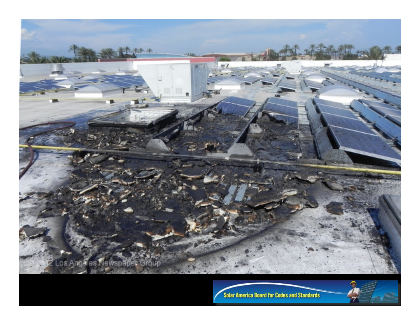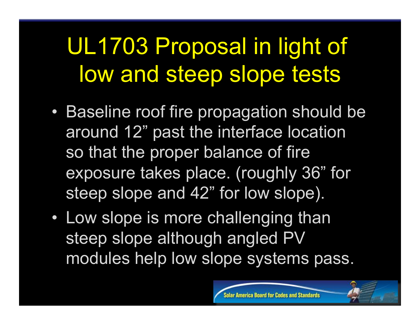## UL1703 Proposal in light of low and steep slope tests

- Baseline roof fire propagation should be around 12" past the interface location so that the proper balance of fire exposure takes place. (roughly 36" for steep slope and 42" for low slope).
- Low slope is more challenging than steep slope although angled PV modules help low slope systems pass.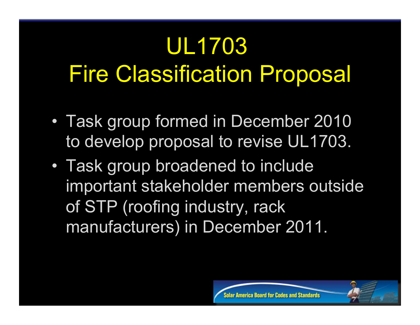## UL1703 Fire Classification Proposal

- Task group formed in December 2010 to develop proposal to revise UL1703.
- Task group broadened to include important stakeholder members outside of STP (roofing industry, rack manufacturers) in December 2011.



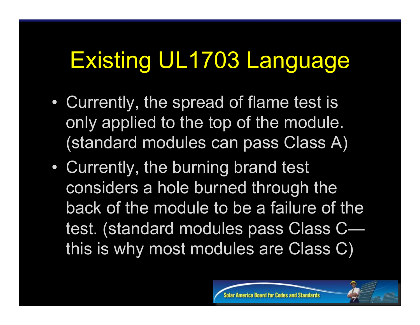#### Existing UL1703 Language

- Currently, the spread of flame test is only applied to the top of the module. (standard modules can pass Class A)
- Currently, the burning brand test considers a hole burned through the back of the module to be a failure of the test. (standard modules pass Class Cthis is why most modules are Class C)

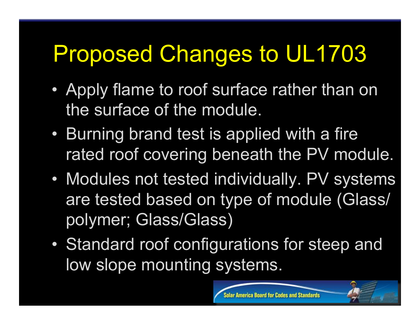### Proposed Changes to UL1703

- Apply flame to roof surface rather than on the surface of the module.
- Burning brand test is applied with a fire rated roof covering beneath the PV module.
- Modules not tested individually. PV systems are tested based on type of module (Glass/ polymer; Glass/Glass)
- Standard roof configurations for steep and low slope mounting systems.

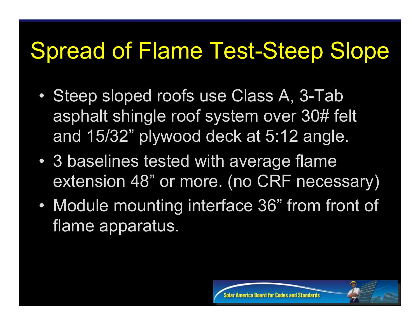### Spread of Flame Test-Steep Slope

- Steep sloped roofs use Class A, 3-Tab asphalt shingle roof system over 30# felt and 15/32" plywood deck at 5:12 angle.
- 3 baselines tested with average flame extension 48" or more. (no CRF necessary)
- Module mounting interface 36" from front of flame apparatus.

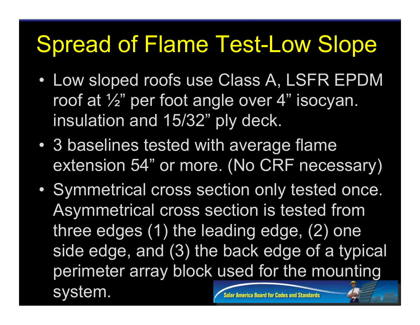#### Spread of Flame Test-Low Slope

- Low sloped roofs use Class A, LSFR EPDM roof at ½" per foot angle over 4" isocyan. insulation and 15/32" ply deck.
- 3 baselines tested with average flame extension 54" or more. (No CRF necessary)
- Symmetrical cross section only tested once. Asymmetrical cross section is tested from three edges (1) the leading edge, (2) one side edge, and (3) the back edge of a typical perimeter array block used for the mounting

system.

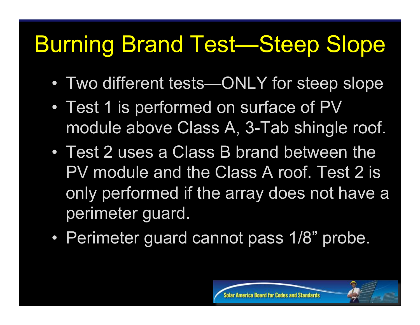## Burning Brand Test—Steep Slope

- Two different tests—ONLY for steep slope
- Test 1 is performed on surface of PV module above Class A, 3-Tab shingle roof.
- Test 2 uses a Class B brand between the PV module and the Class A roof. Test 2 is only performed if the array does not have a perimeter guard.
- Perimeter guard cannot pass 1/8" probe.

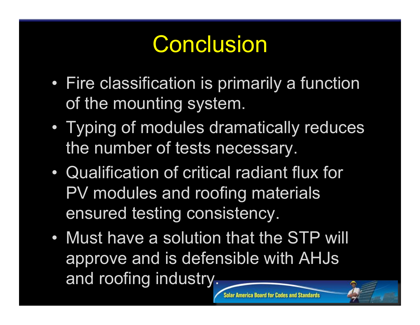#### **Conclusion**

- Fire classification is primarily a function of the mounting system.
- Typing of modules dramatically reduces the number of tests necessary.
- Qualification of critical radiant flux for PV modules and roofing materials ensured testing consistency.
- Must have a solution that the STP will approve and is defensible with AHJs and roofing industry.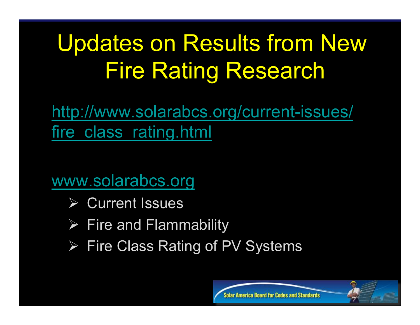## Updates on Results from New Fire Rating Research

http://www.solarabcs.org/current-issues/ fire class rating.html

www.solarabcs.org

- $\triangleright$  Current Issues
- $\triangleright$  Fire and Flammability
- $\triangleright$  Fire Class Rating of PV Systems